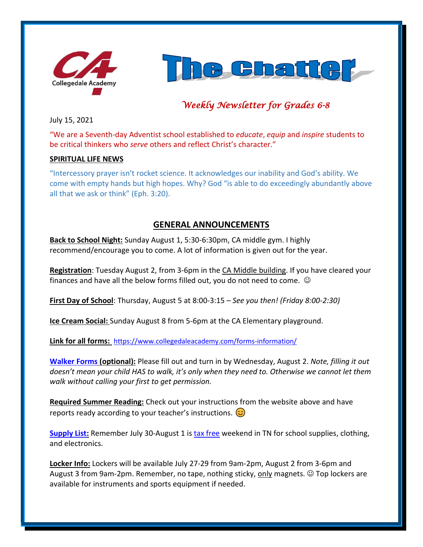



# *Weekly Newsletter for Grades 6-8*

July 15, 2021

"We are a Seventh-day Adventist school established to *educate*, *equip* and *inspire* students to be critical thinkers who *serve* others and reflect Christ's character."

#### **SPIRITUAL LIFE NEWS**

"Intercessory prayer isn't rocket science. It acknowledges our inability and God's ability. We come with empty hands but high hopes. Why? God "is able to do exceedingly abundantly above all that we ask or think" (Eph. 3:20).

# **GENERAL ANNOUNCEMENTS**

**Back to School Night:** Sunday August 1, 5:30-6:30pm, CA middle gym. I highly recommend/encourage you to come. A lot of information is given out for the year.

**Registration**: Tuesday August 2, from 3-6pm in the CA Middle building. If you have cleared your finances and have all the below forms filled out, you do not need to come.  $\odot$ 

**First Day of School**: Thursday, August 5 at 8:00-3:15 – *See you then! (Friday 8:00-2:30)*

**Ice Cream Social:** Sunday August 8 from 5-6pm at the CA Elementary playground.

**Link for all forms:** <https://www.collegedaleacademy.com/forms-information/>

**[Walker Forms](https://www.collegedaleacademy.com/wp-content/uploads/2020/07/WALKER-PERMISSION-SHEET-5-8.pdf) (optional):** Please fill out and turn in by Wednesday, August 2. *Note, filling it out doesn't mean your child HAS to walk, it's only when they need to. Otherwise we cannot let them walk without calling your first to get permission.* 

**Required Summer Reading:** Check out your instructions from the website above and have reports ready according to your teacher's instructions.  $\circled{c}$ 

**[Supply List:](https://www.collegedaleacademy.com/wp-content/uploads/2021/06/School-Supply-List-2021-2022-CA-Middle.pdf)** Remember July 30-August 1 i[s tax free](https://www.tn.gov/revenue/taxes/sales-and-use-tax/sales-tax-holiday/sth-traditional.html) weekend in TN for school supplies, clothing, and electronics.

**Locker Info:** Lockers will be available July 27-29 from 9am-2pm, August 2 from 3-6pm and August 3 from 9am-2pm. Remember, no tape, nothing sticky, only magnets. © Top lockers are available for instruments and sports equipment if needed.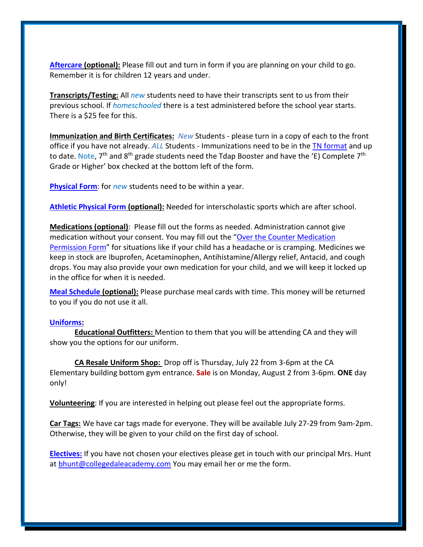**[Aftercare](https://www.collegedaleacademy.com/wp-content/uploads/2019/10/CA-Aftercare-Application.pdf) (optional):** Please fill out and turn in form if you are planning on your child to go. Remember it is for children 12 years and under.

**Transcripts/Testing:** All *new* students need to have their transcripts sent to us from their previous school. If *homeschooled* there is a test administered before the school year starts. There is a \$25 fee for this.

**Immunization and Birth Certificates:** *New* Students - please turn in a copy of each to the front office if you have not already. *ALL* Students - Immunizations need to be in the [TN format](https://www.collegedaleacademy.com/wp-content/uploads/2021/07/TN_Immunization_Certificate_Sample.pdf) and up to date. Note, 7<sup>th</sup> and 8<sup>th</sup> grade students need the Tdap Booster and have the 'E) Complete 7<sup>th</sup> Grade or Higher' box checked at the bottom left of the form.

**[Physical Form](https://www.collegedaleacademy.com/wp-content/uploads/2021/07/Physical_Reg.pdf)**: for *new* students need to be within a year.

**[Athletic Physical Form](https://www.collegedaleacademy.com/wp-content/uploads/2021/07/SportsPhysical-1.pdf) (optional):** Needed for interscholastic sports which are after school.

**Medications (optional)**: Please fill out the forms as needed. Administration cannot give medication without your consent. You may fill out the "Over the Counter Medication [Permission Form](https://www.collegedaleacademy.com/wp-content/uploads/2021/07/OTC-Medication-Form.pdf)" for situations like if your child has a headache or is cramping. Medicines we keep in stock are Ibuprofen, Acetaminophen, Antihistamine/Allergy relief, Antacid, and cough drops. You may also provide your own medication for your child, and we will keep it locked up in the office for when it is needed.

**[Meal Schedule](https://www.collegedaleacademy.com/wp-content/uploads/2021/06/Meal-Schedule-1.pdf) (optional):** Please purchase meal cards with time. This money will be returned to you if you do not use it all.

#### **[Uniforms:](https://www.collegedaleacademy.com/wp-content/uploads/2021/07/Uniform-Info_CA_K-12-2.pdf)**

**Educational Outfitters:** Mention to them that you will be attending CA and they will show you the options for our uniform.

**CA Resale Uniform Shop:** Drop off is Thursday, July 22 from 3-6pm at the CA Elementary building bottom gym entrance. **Sale** is on Monday, August 2 from 3-6pm. **ONE** day only!

**Volunteering**: If you are interested in helping out please feel out the appropriate forms.

**Car Tags:** We have car tags made for everyone. They will be available July 27-29 from 9am-2pm. Otherwise, they will be given to your child on the first day of school.

**[Electives:](https://www.collegedaleacademy.com/wp-content/uploads/2021/06/Elective-Letter-May-2021.pdf)** If you have not chosen your electives please get in touch with our principal Mrs. Hunt at [bhunt@collegedaleacademy.com](mailto:bhunt@collegedaleacademy.com) You may email her or me the form.